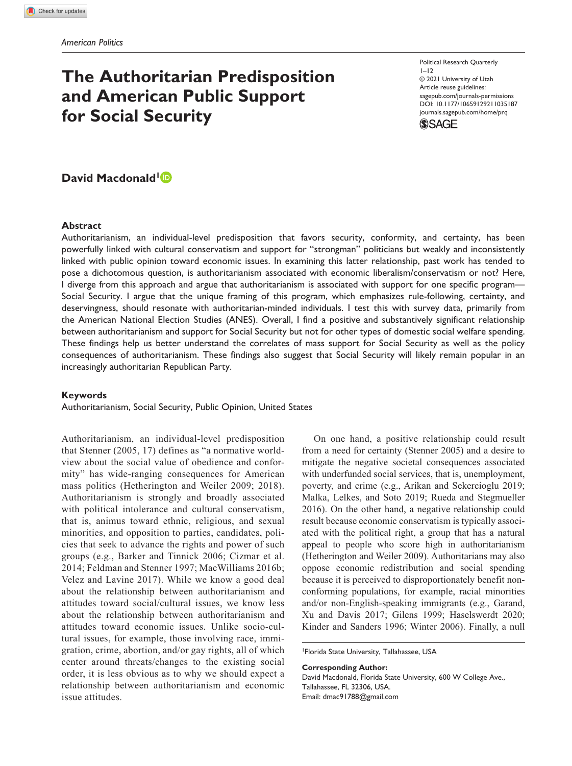# **The Authoritarian Predisposition and American Public Support for Social Security**

Political Research Quarterly  $1 - 12$ © 2021 University of Utah Article reuse guidelines: [sagepub.com/journals-permissions](https://us.sagepub.com/en-us/journals-permissions) DOI: 10.1177/10659129211035187 [journals.sagepub.com/home/prq](https://journals.sagepub.com/home/prq) **SSAGE** 

David Macdonald<sup>1</sup><sup>D</sup>

## **Abstract**

Authoritarianism, an individual-level predisposition that favors security, conformity, and certainty, has been powerfully linked with cultural conservatism and support for "strongman" politicians but weakly and inconsistently linked with public opinion toward economic issues. In examining this latter relationship, past work has tended to pose a dichotomous question, is authoritarianism associated with economic liberalism/conservatism or not? Here, I diverge from this approach and argue that authoritarianism is associated with support for one specific program— Social Security. I argue that the unique framing of this program, which emphasizes rule-following, certainty, and deservingness, should resonate with authoritarian-minded individuals. I test this with survey data, primarily from the American National Election Studies (ANES). Overall, I find a positive and substantively significant relationship between authoritarianism and support for Social Security but not for other types of domestic social welfare spending. These findings help us better understand the correlates of mass support for Social Security as well as the policy consequences of authoritarianism. These findings also suggest that Social Security will likely remain popular in an increasingly authoritarian Republican Party.

## **Keywords**

Authoritarianism, Social Security, Public Opinion, United States

Authoritarianism, an individual-level predisposition that Stenner (2005, 17) defines as "a normative worldview about the social value of obedience and conformity" has wide-ranging consequences for American mass politics (Hetherington and Weiler 2009; 2018). Authoritarianism is strongly and broadly associated with political intolerance and cultural conservatism, that is, animus toward ethnic, religious, and sexual minorities, and opposition to parties, candidates, policies that seek to advance the rights and power of such groups (e.g., Barker and Tinnick 2006; Cizmar et al. 2014; Feldman and Stenner 1997; MacWilliams 2016b; Velez and Lavine 2017). While we know a good deal about the relationship between authoritarianism and attitudes toward social/cultural issues, we know less about the relationship between authoritarianism and attitudes toward economic issues. Unlike socio-cultural issues, for example, those involving race, immigration, crime, abortion, and/or gay rights, all of which center around threats/changes to the existing social order, it is less obvious as to why we should expect a relationship between authoritarianism and economic issue attitudes.

On one hand, a positive relationship could result from a need for certainty (Stenner 2005) and a desire to mitigate the negative societal consequences associated with underfunded social services, that is, unemployment, poverty, and crime (e.g., Arikan and Sekercioglu 2019; Malka, Lelkes, and Soto 2019; Rueda and Stegmueller 2016). On the other hand, a negative relationship could result because economic conservatism is typically associated with the political right, a group that has a natural appeal to people who score high in authoritarianism (Hetherington and Weiler 2009). Authoritarians may also oppose economic redistribution and social spending because it is perceived to disproportionately benefit nonconforming populations, for example, racial minorities and/or non-English-speaking immigrants (e.g., Garand, Xu and Davis 2017; Gilens 1999; Haselswerdt 2020; Kinder and Sanders 1996; Winter 2006). Finally, a null

1 Florida State University, Tallahassee, USA

**Corresponding Author:**

David Macdonald, Florida State University, 600 W College Ave., Tallahassee, FL 32306, USA. Email: [dmac91788@gmail.com](mailto:dmac91788@gmail.com)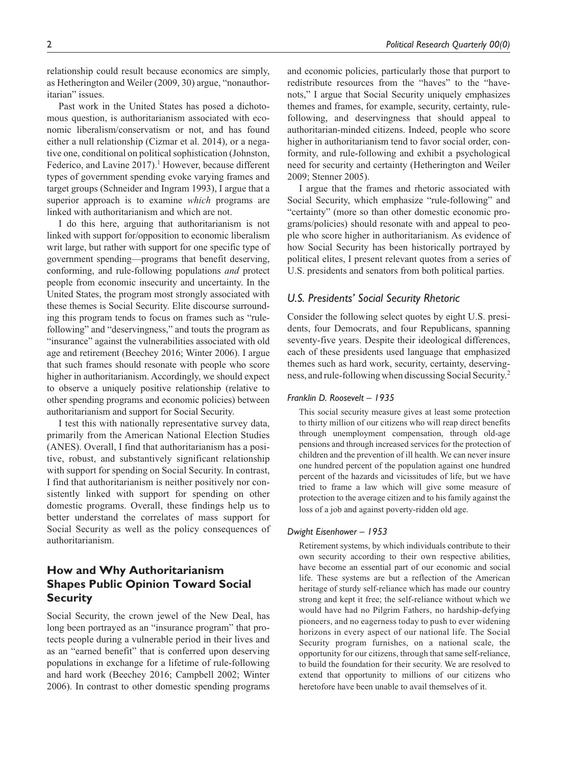relationship could result because economics are simply, as Hetherington and Weiler (2009, 30) argue, "nonauthoritarian" issues.

Past work in the United States has posed a dichotomous question, is authoritarianism associated with economic liberalism/conservatism or not, and has found either a null relationship (Cizmar et al. 2014), or a negative one, conditional on political sophistication (Johnston, Federico, and Lavine 2017).<sup>1</sup> However, because different types of government spending evoke varying frames and target groups (Schneider and Ingram 1993), I argue that a superior approach is to examine *which* programs are linked with authoritarianism and which are not.

I do this here, arguing that authoritarianism is not linked with support for/opposition to economic liberalism writ large, but rather with support for one specific type of government spending—programs that benefit deserving, conforming, and rule-following populations *and* protect people from economic insecurity and uncertainty. In the United States, the program most strongly associated with these themes is Social Security. Elite discourse surrounding this program tends to focus on frames such as "rulefollowing" and "deservingness," and touts the program as "insurance" against the vulnerabilities associated with old age and retirement (Beechey 2016; Winter 2006). I argue that such frames should resonate with people who score higher in authoritarianism. Accordingly, we should expect to observe a uniquely positive relationship (relative to other spending programs and economic policies) between authoritarianism and support for Social Security.

I test this with nationally representative survey data, primarily from the American National Election Studies (ANES). Overall, I find that authoritarianism has a positive, robust, and substantively significant relationship with support for spending on Social Security. In contrast, I find that authoritarianism is neither positively nor consistently linked with support for spending on other domestic programs. Overall, these findings help us to better understand the correlates of mass support for Social Security as well as the policy consequences of authoritarianism.

# **How and Why Authoritarianism Shapes Public Opinion Toward Social Security**

Social Security, the crown jewel of the New Deal, has long been portrayed as an "insurance program" that protects people during a vulnerable period in their lives and as an "earned benefit" that is conferred upon deserving populations in exchange for a lifetime of rule-following and hard work (Beechey 2016; Campbell 2002; Winter 2006). In contrast to other domestic spending programs and economic policies, particularly those that purport to redistribute resources from the "haves" to the "havenots," I argue that Social Security uniquely emphasizes themes and frames, for example, security, certainty, rulefollowing, and deservingness that should appeal to authoritarian-minded citizens. Indeed, people who score higher in authoritarianism tend to favor social order, conformity, and rule-following and exhibit a psychological need for security and certainty (Hetherington and Weiler 2009; Stenner 2005).

I argue that the frames and rhetoric associated with Social Security, which emphasize "rule-following" and "certainty" (more so than other domestic economic programs/policies) should resonate with and appeal to people who score higher in authoritarianism. As evidence of how Social Security has been historically portrayed by political elites, I present relevant quotes from a series of U.S. presidents and senators from both political parties.

## *U.S. Presidents' Social Security Rhetoric*

Consider the following select quotes by eight U.S. presidents, four Democrats, and four Republicans, spanning seventy-five years. Despite their ideological differences, each of these presidents used language that emphasized themes such as hard work, security, certainty, deservingness, and rule-following when discussing Social Security.2

## *Franklin D. Roosevelt – 1935*

This social security measure gives at least some protection to thirty million of our citizens who will reap direct benefits through unemployment compensation, through old-age pensions and through increased services for the protection of children and the prevention of ill health. We can never insure one hundred percent of the population against one hundred percent of the hazards and vicissitudes of life, but we have tried to frame a law which will give some measure of protection to the average citizen and to his family against the loss of a job and against poverty-ridden old age.

#### *Dwight Eisenhower – 1953*

Retirement systems, by which individuals contribute to their own security according to their own respective abilities, have become an essential part of our economic and social life. These systems are but a reflection of the American heritage of sturdy self-reliance which has made our country strong and kept it free; the self-reliance without which we would have had no Pilgrim Fathers, no hardship-defying pioneers, and no eagerness today to push to ever widening horizons in every aspect of our national life. The Social Security program furnishes, on a national scale, the opportunity for our citizens, through that same self-reliance, to build the foundation for their security. We are resolved to extend that opportunity to millions of our citizens who heretofore have been unable to avail themselves of it.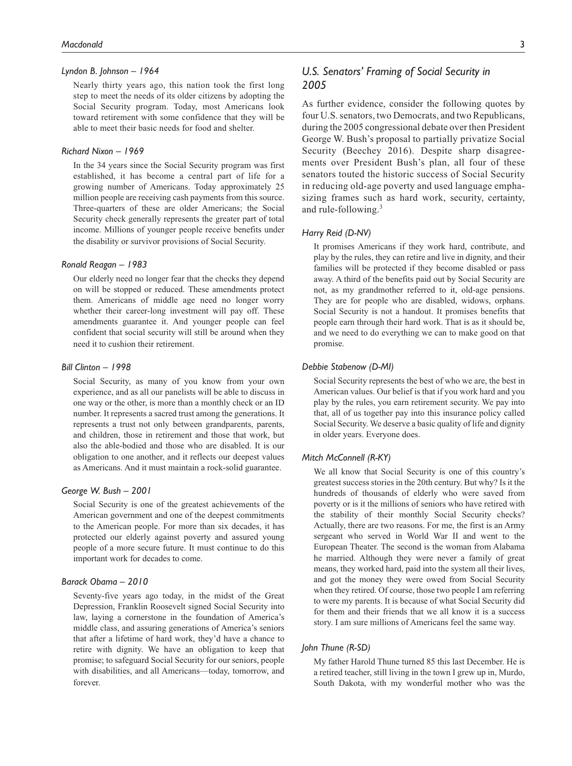#### *Lyndon B. Johnson – 1964*

Nearly thirty years ago, this nation took the first long step to meet the needs of its older citizens by adopting the Social Security program. Today, most Americans look toward retirement with some confidence that they will be able to meet their basic needs for food and shelter.

#### *Richard Nixon – 1969*

In the 34 years since the Social Security program was first established, it has become a central part of life for a growing number of Americans. Today approximately 25 million people are receiving cash payments from this source. Three-quarters of these are older Americans; the Social Security check generally represents the greater part of total income. Millions of younger people receive benefits under the disability or survivor provisions of Social Security.

#### *Ronald Reagan – 1983*

Our elderly need no longer fear that the checks they depend on will be stopped or reduced. These amendments protect them. Americans of middle age need no longer worry whether their career-long investment will pay off. These amendments guarantee it. And younger people can feel confident that social security will still be around when they need it to cushion their retirement.

#### *Bill Clinton – 1998*

Social Security, as many of you know from your own experience, and as all our panelists will be able to discuss in one way or the other, is more than a monthly check or an ID number. It represents a sacred trust among the generations. It represents a trust not only between grandparents, parents, and children, those in retirement and those that work, but also the able-bodied and those who are disabled. It is our obligation to one another, and it reflects our deepest values as Americans. And it must maintain a rock-solid guarantee.

## *George W. Bush – 2001*

Social Security is one of the greatest achievements of the American government and one of the deepest commitments to the American people. For more than six decades, it has protected our elderly against poverty and assured young people of a more secure future. It must continue to do this important work for decades to come.

### *Barack Obama – 2010*

Seventy-five years ago today, in the midst of the Great Depression, Franklin Roosevelt signed Social Security into law, laying a cornerstone in the foundation of America's middle class, and assuring generations of America's seniors that after a lifetime of hard work, they'd have a chance to retire with dignity. We have an obligation to keep that promise; to safeguard Social Security for our seniors, people with disabilities, and all Americans—today, tomorrow, and forever.

# *U.S. Senators' Framing of Social Security in 2005*

As further evidence, consider the following quotes by four U.S. senators, two Democrats, and two Republicans, during the 2005 congressional debate over then President George W. Bush's proposal to partially privatize Social Security (Beechey 2016). Despite sharp disagreements over President Bush's plan, all four of these senators touted the historic success of Social Security in reducing old-age poverty and used language emphasizing frames such as hard work, security, certainty, and rule-following.3

## *Harry Reid (D-NV)*

It promises Americans if they work hard, contribute, and play by the rules, they can retire and live in dignity, and their families will be protected if they become disabled or pass away. A third of the benefits paid out by Social Security are not, as my grandmother referred to it, old-age pensions. They are for people who are disabled, widows, orphans. Social Security is not a handout. It promises benefits that people earn through their hard work. That is as it should be, and we need to do everything we can to make good on that promise.

#### *Debbie Stabenow (D-MI)*

Social Security represents the best of who we are, the best in American values. Our belief is that if you work hard and you play by the rules, you earn retirement security. We pay into that, all of us together pay into this insurance policy called Social Security. We deserve a basic quality of life and dignity in older years. Everyone does.

## *Mitch McConnell (R-KY)*

We all know that Social Security is one of this country's greatest success stories in the 20th century. But why? Is it the hundreds of thousands of elderly who were saved from poverty or is it the millions of seniors who have retired with the stability of their monthly Social Security checks? Actually, there are two reasons. For me, the first is an Army sergeant who served in World War II and went to the European Theater. The second is the woman from Alabama he married. Although they were never a family of great means, they worked hard, paid into the system all their lives, and got the money they were owed from Social Security when they retired. Of course, those two people I am referring to were my parents. It is because of what Social Security did for them and their friends that we all know it is a success story. I am sure millions of Americans feel the same way.

#### *John Thune (R-SD)*

My father Harold Thune turned 85 this last December. He is a retired teacher, still living in the town I grew up in, Murdo, South Dakota, with my wonderful mother who was the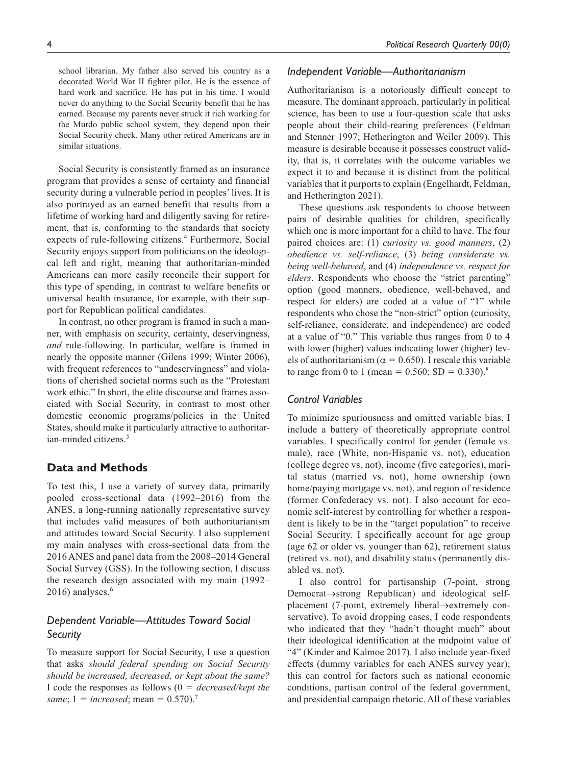similar situations.

school librarian. My father also served his country as a decorated World War II fighter pilot. He is the essence of hard work and sacrifice. He has put in his time. I would never do anything to the Social Security benefit that he has earned. Because my parents never struck it rich working for the Murdo public school system, they depend upon their Social Security check. Many other retired Americans are in

Social Security is consistently framed as an insurance program that provides a sense of certainty and financial security during a vulnerable period in peoples' lives. It is also portrayed as an earned benefit that results from a lifetime of working hard and diligently saving for retirement, that is, conforming to the standards that society expects of rule-following citizens.<sup>4</sup> Furthermore, Social Security enjoys support from politicians on the ideological left and right, meaning that authoritarian-minded Americans can more easily reconcile their support for this type of spending, in contrast to welfare benefits or universal health insurance, for example, with their support for Republican political candidates.

In contrast, no other program is framed in such a manner, with emphasis on security, certainty, deservingness, *and* rule-following. In particular, welfare is framed in nearly the opposite manner (Gilens 1999; Winter 2006), with frequent references to "undeservingness" and violations of cherished societal norms such as the "Protestant work ethic." In short, the elite discourse and frames associated with Social Security, in contrast to most other domestic economic programs/policies in the United States, should make it particularly attractive to authoritarian-minded citizens.<sup>5</sup>

## **Data and Methods**

To test this, I use a variety of survey data, primarily pooled cross-sectional data (1992–2016) from the ANES, a long-running nationally representative survey that includes valid measures of both authoritarianism and attitudes toward Social Security. I also supplement my main analyses with cross-sectional data from the 2016 ANES and panel data from the 2008–2014 General Social Survey (GSS). In the following section, I discuss the research design associated with my main (1992–  $2016$ ) analyses.<sup>6</sup>

# *Dependent Variable—Attitudes Toward Social Security*

To measure support for Social Security, I use a question that asks *should federal spending on Social Security should be increased, decreased, or kept about the same?* I code the responses as follows (0 = *decreased/kept the same*; 1 = *increased*; mean = 0.570).7

## *Independent Variable—Authoritarianism*

Authoritarianism is a notoriously difficult concept to measure. The dominant approach, particularly in political science, has been to use a four-question scale that asks people about their child-rearing preferences (Feldman and Stenner 1997; Hetherington and Weiler 2009). This measure is desirable because it possesses construct validity, that is, it correlates with the outcome variables we expect it to and because it is distinct from the political variables that it purports to explain (Engelhardt, Feldman, and Hetherington 2021).

These questions ask respondents to choose between pairs of desirable qualities for children, specifically which one is more important for a child to have. The four paired choices are: (1) *curiosity vs. good manners*, (2) *obedience vs. self-reliance*, (3) *being considerate vs. being well-behaved*, and (4) *independence vs. respect for elders*. Respondents who choose the "strict parenting" option (good manners, obedience, well-behaved, and respect for elders) are coded at a value of "1" while respondents who chose the "non-strict" option (curiosity, self-reliance, considerate, and independence) are coded at a value of "0." This variable thus ranges from 0 to 4 with lower (higher) values indicating lower (higher) levels of authoritarianism ( $\alpha = 0.650$ ). I rescale this variable to range from 0 to 1 (mean =  $0.560$ ; SD =  $0.330$ ).<sup>8</sup>

## *Control Variables*

To minimize spuriousness and omitted variable bias, I include a battery of theoretically appropriate control variables. I specifically control for gender (female vs. male), race (White, non-Hispanic vs. not), education (college degree vs. not), income (five categories), marital status (married vs. not), home ownership (own home/paying mortgage vs. not), and region of residence (former Confederacy vs. not). I also account for economic self-interest by controlling for whether a respondent is likely to be in the "target population" to receive Social Security. I specifically account for age group (age 62 or older vs. younger than 62), retirement status (retired vs. not), and disability status (permanently disabled vs. not).

I also control for partisanship (7-point, strong Democrat→strong Republican) and ideological selfplacement (7-point, extremely liberal→extremely conservative). To avoid dropping cases, I code respondents who indicated that they "hadn't thought much" about their ideological identification at the midpoint value of "4" (Kinder and Kalmoe 2017). I also include year-fixed effects (dummy variables for each ANES survey year); this can control for factors such as national economic conditions, partisan control of the federal government, and presidential campaign rhetoric. All of these variables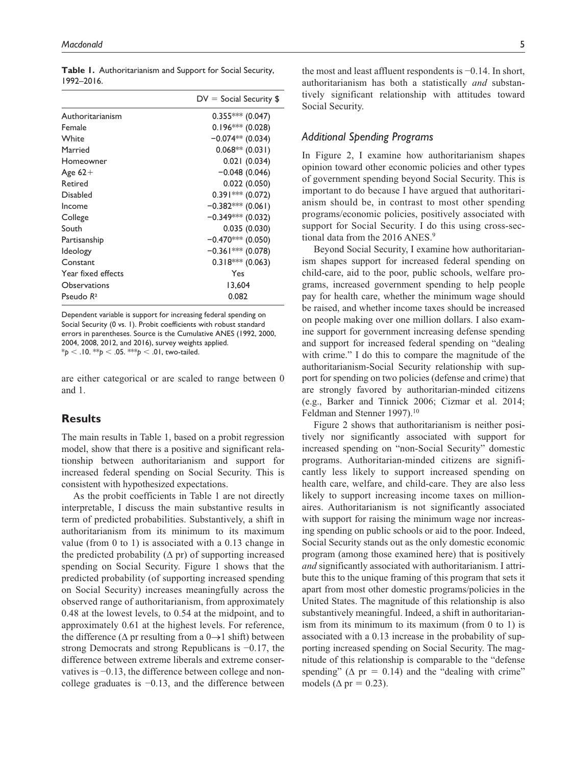| Authoritarianism<br>Female<br>White<br>Married<br>Homeowner<br>Age $62+$<br>Retired<br>Disabled<br>Income<br>College<br>South<br>Partisanship | $DV =$ Social Security \$<br>$0.355***(0.047)$<br>$0.196***$ (0.028)<br>$-0.074**$ (0.034)<br>$0.068**$ (0.031)<br>0.021(0.034)<br>$-0.048(0.046)$<br>0.022(0.050)<br>$0.391***$ (0.072) |  |
|-----------------------------------------------------------------------------------------------------------------------------------------------|------------------------------------------------------------------------------------------------------------------------------------------------------------------------------------------|--|
|                                                                                                                                               |                                                                                                                                                                                          |  |
|                                                                                                                                               |                                                                                                                                                                                          |  |
|                                                                                                                                               |                                                                                                                                                                                          |  |
|                                                                                                                                               |                                                                                                                                                                                          |  |
|                                                                                                                                               |                                                                                                                                                                                          |  |
|                                                                                                                                               |                                                                                                                                                                                          |  |
|                                                                                                                                               |                                                                                                                                                                                          |  |
|                                                                                                                                               |                                                                                                                                                                                          |  |
|                                                                                                                                               |                                                                                                                                                                                          |  |
|                                                                                                                                               | $-0.382***$ (0.061)                                                                                                                                                                      |  |
|                                                                                                                                               | $-0.349***$ (0.032)                                                                                                                                                                      |  |
|                                                                                                                                               | 0.035(0.030)                                                                                                                                                                             |  |
|                                                                                                                                               | $-0.470***$ (0.050)                                                                                                                                                                      |  |
| <b>Ideology</b>                                                                                                                               | $-0.361***$ (0.078)                                                                                                                                                                      |  |
| Constant                                                                                                                                      | $0.318***$ (0.063)                                                                                                                                                                       |  |
| Year fixed effects                                                                                                                            | Yes                                                                                                                                                                                      |  |
| Observations                                                                                                                                  | 13,604                                                                                                                                                                                   |  |
| Pseudo R <sup>2</sup>                                                                                                                         | 0.082                                                                                                                                                                                    |  |

**Table 1.** Authoritarianism and Support for Social Security, 1992–2016.

Dependent variable is support for increasing federal spending on Social Security (0 vs. 1). Probit coefficients with robust standard errors in parentheses. Source is the Cumulative ANES (1992, 2000, 2004, 2008, 2012, and 2016), survey weights applied.

\**p* < .10. \*\**p* < .05. \*\*\**p* < .01, two-tailed.

are either categorical or are scaled to range between 0 and 1.

## **Results**

The main results in Table 1, based on a probit regression model, show that there is a positive and significant relationship between authoritarianism and support for increased federal spending on Social Security. This is consistent with hypothesized expectations.

As the probit coefficients in Table 1 are not directly interpretable, I discuss the main substantive results in term of predicted probabilities. Substantively, a shift in authoritarianism from its minimum to its maximum value (from 0 to 1) is associated with a 0.13 change in the predicted probability  $(Δ pr)$  of supporting increased spending on Social Security. Figure 1 shows that the predicted probability (of supporting increased spending on Social Security) increases meaningfully across the observed range of authoritarianism, from approximately 0.48 at the lowest levels, to 0.54 at the midpoint, and to approximately 0.61 at the highest levels. For reference, the difference ( $\Delta$  pr resulting from a 0 $\rightarrow$ 1 shift) between strong Democrats and strong Republicans is −0.17, the difference between extreme liberals and extreme conservatives is −0.13, the difference between college and noncollege graduates is −0.13, and the difference between

the most and least affluent respondents is −0.14. In short, authoritarianism has both a statistically *and* substantively significant relationship with attitudes toward Social Security.

## *Additional Spending Programs*

In Figure 2, I examine how authoritarianism shapes opinion toward other economic policies and other types of government spending beyond Social Security. This is important to do because I have argued that authoritarianism should be, in contrast to most other spending programs/economic policies, positively associated with support for Social Security. I do this using cross-sectional data from the 2016 ANES.<sup>9</sup>

Beyond Social Security, I examine how authoritarianism shapes support for increased federal spending on child-care, aid to the poor, public schools, welfare programs, increased government spending to help people pay for health care, whether the minimum wage should be raised, and whether income taxes should be increased on people making over one million dollars. I also examine support for government increasing defense spending and support for increased federal spending on "dealing with crime." I do this to compare the magnitude of the authoritarianism-Social Security relationship with support for spending on two policies (defense and crime) that are strongly favored by authoritarian-minded citizens (e.g., Barker and Tinnick 2006; Cizmar et al. 2014; Feldman and Stenner 1997).<sup>10</sup>

Figure 2 shows that authoritarianism is neither positively nor significantly associated with support for increased spending on "non-Social Security" domestic programs. Authoritarian-minded citizens are significantly less likely to support increased spending on health care, welfare, and child-care. They are also less likely to support increasing income taxes on millionaires. Authoritarianism is not significantly associated with support for raising the minimum wage nor increasing spending on public schools or aid to the poor. Indeed, Social Security stands out as the only domestic economic program (among those examined here) that is positively *and* significantly associated with authoritarianism. I attribute this to the unique framing of this program that sets it apart from most other domestic programs/policies in the United States. The magnitude of this relationship is also substantively meaningful. Indeed, a shift in authoritarianism from its minimum to its maximum (from 0 to 1) is associated with a 0.13 increase in the probability of supporting increased spending on Social Security. The magnitude of this relationship is comparable to the "defense spending" ( $\Delta$  pr = 0.14) and the "dealing with crime" models ( $\Delta$  pr = 0.23).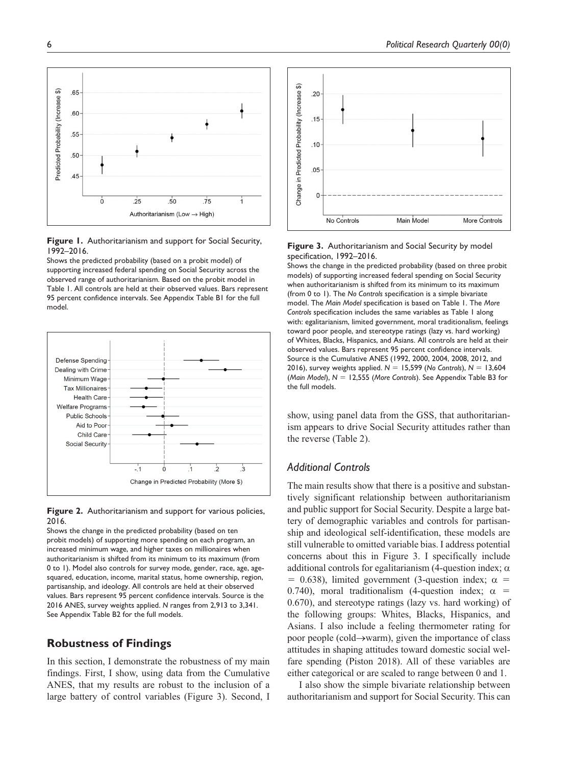

**Figure 1.** Authoritarianism and support for Social Security, 1992–2016.

Shows the predicted probability (based on a probit model) of supporting increased federal spending on Social Security across the observed range of authoritarianism. Based on the probit model in Table 1. All controls are held at their observed values. Bars represent 95 percent confidence intervals. See Appendix Table B1 for the full model.



**Figure 2.** Authoritarianism and support for various policies, 2016.

Shows the change in the predicted probability (based on ten probit models) of supporting more spending on each program, an increased minimum wage, and higher taxes on millionaires when authoritarianism is shifted from its minimum to its maximum (from 0 to 1). Model also controls for survey mode, gender, race, age, agesquared, education, income, marital status, home ownership, region, partisanship, and ideology. All controls are held at their observed values. Bars represent 95 percent confidence intervals. Source is the 2016 ANES, survey weights applied. *N* ranges from 2,913 to 3,341. See Appendix Table B2 for the full models.

# **Robustness of Findings**

In this section, I demonstrate the robustness of my main findings. First, I show, using data from the Cumulative ANES, that my results are robust to the inclusion of a large battery of control variables (Figure 3). Second, I



#### **Figure 3.** Authoritarianism and Social Security by model specification, 1992–2016.

Shows the change in the predicted probability (based on three probit models) of supporting increased federal spending on Social Security when authoritarianism is shifted from its minimum to its maximum (from 0 to 1). The *No Controls* specification is a simple bivariate model. The *Main Model* specification is based on Table 1. The *More Controls* specification includes the same variables as Table 1 along with: egalitarianism, limited government, moral traditionalism, feelings toward poor people, and stereotype ratings (lazy vs. hard working) of Whites, Blacks, Hispanics, and Asians. All controls are held at their observed values. Bars represent 95 percent confidence intervals. Source is the Cumulative ANES (1992, 2000, 2004, 2008, 2012, and 2016), survey weights applied. *N* = 15,599 (*No Controls*), *N* = 13,604 (*Main Model*), *N* = 12,555 (*More Controls*). See Appendix Table B3 for the full models.

show, using panel data from the GSS, that authoritarianism appears to drive Social Security attitudes rather than the reverse (Table 2).

## *Additional Controls*

The main results show that there is a positive and substantively significant relationship between authoritarianism and public support for Social Security. Despite a large battery of demographic variables and controls for partisanship and ideological self-identification, these models are still vulnerable to omitted variable bias. I address potential concerns about this in Figure 3. I specifically include additional controls for egalitarianism (4-question index;  $\alpha$ = 0.638), limited government (3-question index;  $\alpha$  = 0.740), moral traditionalism (4-question index;  $\alpha$  = 0.670), and stereotype ratings (lazy vs. hard working) of the following groups: Whites, Blacks, Hispanics, and Asians. I also include a feeling thermometer rating for poor people (cold→warm), given the importance of class attitudes in shaping attitudes toward domestic social welfare spending (Piston 2018). All of these variables are either categorical or are scaled to range between 0 and 1.

I also show the simple bivariate relationship between authoritarianism and support for Social Security. This can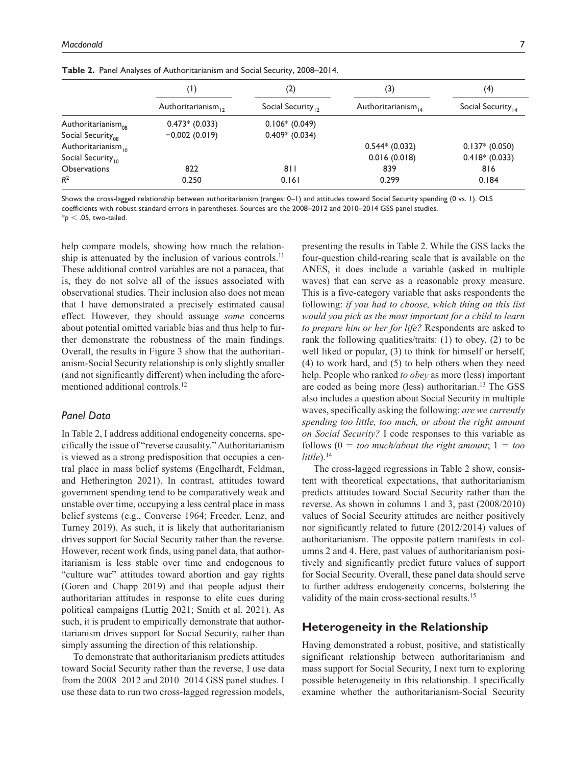|                                | (1)<br>Authoritarianism, | (2)<br>Social Security $\sim$ | (3)<br>Authoritarianism | (4)<br>Social Security $_{14}$ |
|--------------------------------|--------------------------|-------------------------------|-------------------------|--------------------------------|
|                                |                          |                               |                         |                                |
| Authoritarianism $_{0.8}$      | $0.473* (0.033)$         | $0.106*(0.049)$               |                         |                                |
| Social Security <sub>08</sub>  | $-0.002(0.019)$          | $0.409* (0.034)$              |                         |                                |
| Authoritarianism <sub>10</sub> |                          |                               | $0.544* (0.032)$        | $0.137*(0.050)$                |
| Social Security <sub>10</sub>  |                          |                               | 0.016(0.018)            | $0.418*(0.033)$                |
| <b>Observations</b>            | 822                      | 811                           | 839                     | 816                            |
| $R^2$                          | 0.250                    | 0.161                         | 0.299                   | 0.184                          |

**Table 2.** Panel Analyses of Authoritarianism and Social Security, 2008–2014.

Shows the cross-lagged relationship between authoritarianism (ranges: 0–1) and attitudes toward Social Security spending (0 vs. 1). OLS coefficients with robust standard errors in parentheses. Sources are the 2008–2012 and 2010–2014 GSS panel studies.  $*$ *p* < .05, two-tailed.

help compare models, showing how much the relationship is attenuated by the inclusion of various controls.<sup>11</sup> These additional control variables are not a panacea, that is, they do not solve all of the issues associated with observational studies. Their inclusion also does not mean that I have demonstrated a precisely estimated causal effect. However, they should assuage *some* concerns about potential omitted variable bias and thus help to further demonstrate the robustness of the main findings. Overall, the results in Figure 3 show that the authoritarianism-Social Security relationship is only slightly smaller (and not significantly different) when including the aforementioned additional controls.12

## *Panel Data*

In Table 2, I address additional endogeneity concerns, specifically the issue of "reverse causality." Authoritarianism is viewed as a strong predisposition that occupies a central place in mass belief systems (Engelhardt, Feldman, and Hetherington 2021). In contrast, attitudes toward government spending tend to be comparatively weak and unstable over time, occupying a less central place in mass belief systems (e.g., Converse 1964; Freeder, Lenz, and Turney 2019). As such, it is likely that authoritarianism drives support for Social Security rather than the reverse. However, recent work finds, using panel data, that authoritarianism is less stable over time and endogenous to "culture war" attitudes toward abortion and gay rights (Goren and Chapp 2019) and that people adjust their authoritarian attitudes in response to elite cues during political campaigns (Luttig 2021; Smith et al. 2021). As such, it is prudent to empirically demonstrate that authoritarianism drives support for Social Security, rather than simply assuming the direction of this relationship.

To demonstrate that authoritarianism predicts attitudes toward Social Security rather than the reverse, I use data from the 2008–2012 and 2010–2014 GSS panel studies. I use these data to run two cross-lagged regression models,

presenting the results in Table 2. While the GSS lacks the four-question child-rearing scale that is available on the ANES, it does include a variable (asked in multiple waves) that can serve as a reasonable proxy measure. This is a five-category variable that asks respondents the following: *if you had to choose, which thing on this list would you pick as the most important for a child to learn to prepare him or her for life?* Respondents are asked to rank the following qualities/traits: (1) to obey, (2) to be well liked or popular, (3) to think for himself or herself, (4) to work hard, and (5) to help others when they need help. People who ranked *to obey* as more (less) important are coded as being more (less) authoritarian.<sup>13</sup> The GSS also includes a question about Social Security in multiple waves, specifically asking the following: *are we currently spending too little, too much, or about the right amount on Social Security?* I code responses to this variable as follows  $(0 = too \ much/about \ the \ right \ amount; 1 = too$ *little*).<sup>14</sup>

The cross-lagged regressions in Table 2 show, consistent with theoretical expectations, that authoritarianism predicts attitudes toward Social Security rather than the reverse. As shown in columns 1 and 3, past (2008/2010) values of Social Security attitudes are neither positively nor significantly related to future (2012/2014) values of authoritarianism. The opposite pattern manifests in columns 2 and 4. Here, past values of authoritarianism positively and significantly predict future values of support for Social Security. Overall, these panel data should serve to further address endogeneity concerns, bolstering the validity of the main cross-sectional results.<sup>15</sup>

## **Heterogeneity in the Relationship**

Having demonstrated a robust, positive, and statistically significant relationship between authoritarianism and mass support for Social Security, I next turn to exploring possible heterogeneity in this relationship. I specifically examine whether the authoritarianism-Social Security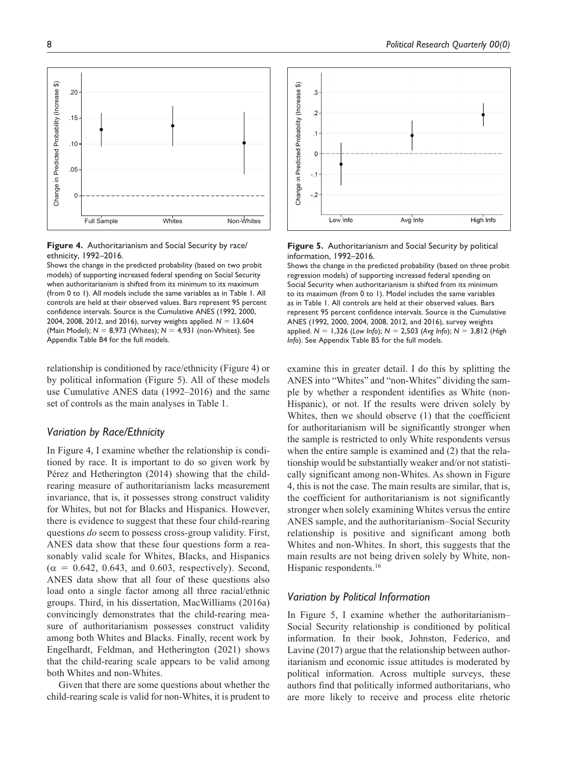



Shows the change in the predicted probability (based on two probit models) of supporting increased federal spending on Social Security when authoritarianism is shifted from its minimum to its maximum (from 0 to 1). All models include the same variables as in Table 1. All controls are held at their observed values. Bars represent 95 percent confidence intervals. Source is the Cumulative ANES (1992, 2000, 2004, 2008, 2012, and 2016), survey weights applied. *N* = 13,604 (Main Model); *N* = 8,973 (Whites); *N* = 4,931 (non-Whites). See Appendix Table B4 for the full models.

relationship is conditioned by race/ethnicity (Figure 4) or by political information (Figure 5). All of these models use Cumulative ANES data (1992–2016) and the same set of controls as the main analyses in Table 1.

## *Variation by Race/Ethnicity*

In Figure 4, I examine whether the relationship is conditioned by race. It is important to do so given work by Pérez and Hetherington (2014) showing that the childrearing measure of authoritarianism lacks measurement invariance, that is, it possesses strong construct validity for Whites, but not for Blacks and Hispanics. However, there is evidence to suggest that these four child-rearing questions *do* seem to possess cross-group validity. First, ANES data show that these four questions form a reasonably valid scale for Whites, Blacks, and Hispanics  $(\alpha = 0.642, 0.643, \text{ and } 0.603, \text{ respectively})$ . Second, ANES data show that all four of these questions also load onto a single factor among all three racial/ethnic groups. Third, in his dissertation, MacWilliams (2016a) convincingly demonstrates that the child-rearing measure of authoritarianism possesses construct validity among both Whites and Blacks. Finally, recent work by Engelhardt, Feldman, and Hetherington (2021) shows that the child-rearing scale appears to be valid among both Whites and non-Whites.

Given that there are some questions about whether the child-rearing scale is valid for non-Whites, it is prudent to





Shows the change in the predicted probability (based on three probit regression models) of supporting increased federal spending on Social Security when authoritarianism is shifted from its minimum to its maximum (from 0 to 1). Model includes the same variables as in Table 1. All controls are held at their observed values. Bars represent 95 percent confidence intervals. Source is the Cumulative ANES (1992, 2000, 2004, 2008, 2012, and 2016), survey weights applied. *N* = 1,326 (*Low Info*); *N* = 2,503 (*Avg Info*); *N* = 3,812 (*High Info*). See Appendix Table B5 for the full models.

examine this in greater detail. I do this by splitting the ANES into "Whites" and "non-Whites" dividing the sample by whether a respondent identifies as White (non-Hispanic), or not. If the results were driven solely by Whites, then we should observe (1) that the coefficient for authoritarianism will be significantly stronger when the sample is restricted to only White respondents versus when the entire sample is examined and  $(2)$  that the relationship would be substantially weaker and/or not statistically significant among non-Whites. As shown in Figure 4, this is not the case. The main results are similar, that is, the coefficient for authoritarianism is not significantly stronger when solely examining Whites versus the entire ANES sample, and the authoritarianism–Social Security relationship is positive and significant among both Whites and non-Whites. In short, this suggests that the main results are not being driven solely by White, non-Hispanic respondents.<sup>16</sup>

## *Variation by Political Information*

In Figure 5, I examine whether the authoritarianism– Social Security relationship is conditioned by political information. In their book, Johnston, Federico, and Lavine (2017) argue that the relationship between authoritarianism and economic issue attitudes is moderated by political information. Across multiple surveys, these authors find that politically informed authoritarians, who are more likely to receive and process elite rhetoric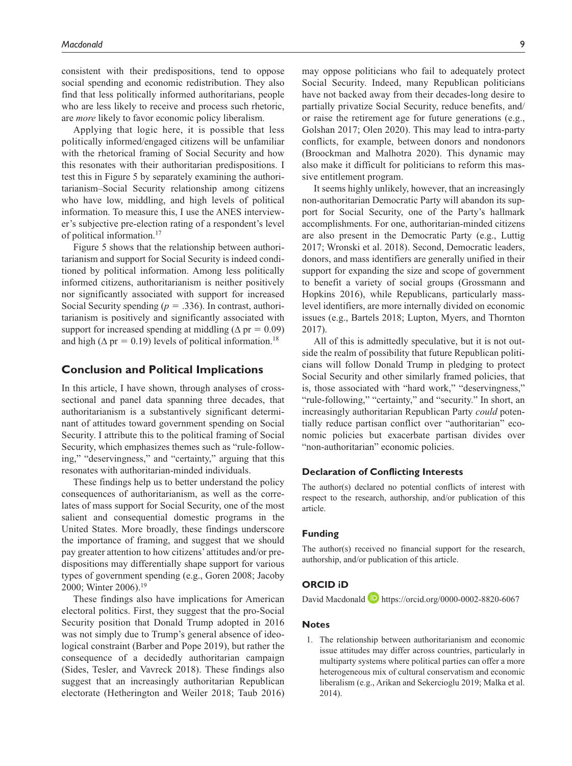consistent with their predispositions, tend to oppose social spending and economic redistribution. They also find that less politically informed authoritarians, people who are less likely to receive and process such rhetoric, are *more* likely to favor economic policy liberalism.

Applying that logic here, it is possible that less politically informed/engaged citizens will be unfamiliar with the rhetorical framing of Social Security and how this resonates with their authoritarian predispositions. I test this in Figure 5 by separately examining the authoritarianism–Social Security relationship among citizens who have low, middling, and high levels of political information. To measure this, I use the ANES interviewer's subjective pre-election rating of a respondent's level of political information.17

Figure 5 shows that the relationship between authoritarianism and support for Social Security is indeed conditioned by political information. Among less politically informed citizens, authoritarianism is neither positively nor significantly associated with support for increased Social Security spending (*p* = .336). In contrast, authoritarianism is positively and significantly associated with support for increased spending at middling ( $\Delta$  pr = 0.09) and high ( $\Delta$  pr = 0.19) levels of political information.<sup>18</sup>

## **Conclusion and Political Implications**

In this article, I have shown, through analyses of crosssectional and panel data spanning three decades, that authoritarianism is a substantively significant determinant of attitudes toward government spending on Social Security. I attribute this to the political framing of Social Security, which emphasizes themes such as "rule-following," "deservingness," and "certainty," arguing that this resonates with authoritarian-minded individuals.

These findings help us to better understand the policy consequences of authoritarianism, as well as the correlates of mass support for Social Security, one of the most salient and consequential domestic programs in the United States. More broadly, these findings underscore the importance of framing, and suggest that we should pay greater attention to how citizens' attitudes and/or predispositions may differentially shape support for various types of government spending (e.g., Goren 2008; Jacoby 2000; Winter 2006).19

These findings also have implications for American electoral politics. First, they suggest that the pro-Social Security position that Donald Trump adopted in 2016 was not simply due to Trump's general absence of ideological constraint (Barber and Pope 2019), but rather the consequence of a decidedly authoritarian campaign (Sides, Tesler, and Vavreck 2018). These findings also suggest that an increasingly authoritarian Republican electorate (Hetherington and Weiler 2018; Taub 2016) may oppose politicians who fail to adequately protect Social Security. Indeed, many Republican politicians have not backed away from their decades-long desire to partially privatize Social Security, reduce benefits, and/ or raise the retirement age for future generations (e.g., Golshan 2017; Olen 2020). This may lead to intra-party conflicts, for example, between donors and nondonors (Broockman and Malhotra 2020). This dynamic may also make it difficult for politicians to reform this massive entitlement program.

It seems highly unlikely, however, that an increasingly non-authoritarian Democratic Party will abandon its support for Social Security, one of the Party's hallmark accomplishments. For one, authoritarian-minded citizens are also present in the Democratic Party (e.g., Luttig 2017; Wronski et al. 2018). Second, Democratic leaders, donors, and mass identifiers are generally unified in their support for expanding the size and scope of government to benefit a variety of social groups (Grossmann and Hopkins 2016), while Republicans, particularly masslevel identifiers, are more internally divided on economic issues (e.g., Bartels 2018; Lupton, Myers, and Thornton 2017).

All of this is admittedly speculative, but it is not outside the realm of possibility that future Republican politicians will follow Donald Trump in pledging to protect Social Security and other similarly framed policies, that is, those associated with "hard work," "deservingness," "rule-following," "certainty," and "security." In short, an increasingly authoritarian Republican Party *could* potentially reduce partisan conflict over "authoritarian" economic policies but exacerbate partisan divides over "non-authoritarian" economic policies.

## **Declaration of Conflicting Interests**

The author(s) declared no potential conflicts of interest with respect to the research, authorship, and/or publication of this article.

## **Funding**

The author(s) received no financial support for the research, authorship, and/or publication of this article.

## **ORCID iD**

David Macdonald **D** <https://orcid.org/0000-0002-8820-6067>

## **Notes**

1. The relationship between authoritarianism and economic issue attitudes may differ across countries, particularly in multiparty systems where political parties can offer a more heterogeneous mix of cultural conservatism and economic liberalism (e.g., Arikan and Sekercioglu 2019; Malka et al. 2014).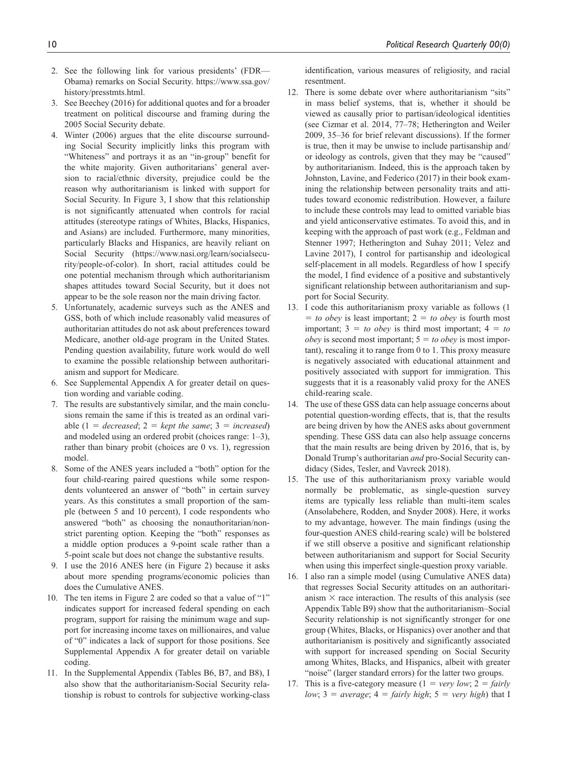- 2. See the following link for various presidents' (FDR— Obama) remarks on Social Security. [https://www.ssa.gov/](https://www.ssa.gov/history/presstmts.html) [history/presstmts.html](https://www.ssa.gov/history/presstmts.html).
- 3. See Beechey (2016) for additional quotes and for a broader treatment on political discourse and framing during the 2005 Social Security debate.
- 4. Winter (2006) argues that the elite discourse surrounding Social Security implicitly links this program with "Whiteness" and portrays it as an "in-group" benefit for the white majority. Given authoritarians' general aversion to racial/ethnic diversity, prejudice could be the reason why authoritarianism is linked with support for Social Security. In Figure 3, I show that this relationship is not significantly attenuated when controls for racial attitudes (stereotype ratings of Whites, Blacks, Hispanics, and Asians) are included. Furthermore, many minorities, particularly Blacks and Hispanics, are heavily reliant on Social Security [\(https://www.nasi.org/learn/socialsecu](https://www.nasi.org/learn/socialsecurity/people-of-color)[rity/people-of-color\)](https://www.nasi.org/learn/socialsecurity/people-of-color). In short, racial attitudes could be one potential mechanism through which authoritarianism shapes attitudes toward Social Security, but it does not appear to be the sole reason nor the main driving factor.
- 5. Unfortunately, academic surveys such as the ANES and GSS, both of which include reasonably valid measures of authoritarian attitudes do not ask about preferences toward Medicare, another old-age program in the United States. Pending question availability, future work would do well to examine the possible relationship between authoritarianism and support for Medicare.
- 6. See Supplemental Appendix A for greater detail on question wording and variable coding.
- 7. The results are substantively similar, and the main conclusions remain the same if this is treated as an ordinal variable  $(1 = decreased; 2 = kept the same; 3 = increased)$ and modeled using an ordered probit (choices range: 1–3), rather than binary probit (choices are 0 vs. 1), regression model.
- 8. Some of the ANES years included a "both" option for the four child-rearing paired questions while some respondents volunteered an answer of "both" in certain survey years. As this constitutes a small proportion of the sample (between 5 and 10 percent), I code respondents who answered "both" as choosing the nonauthoritarian/nonstrict parenting option. Keeping the "both" responses as a middle option produces a 9-point scale rather than a 5-point scale but does not change the substantive results.
- 9. I use the 2016 ANES here (in Figure 2) because it asks about more spending programs/economic policies than does the Cumulative ANES.
- 10. The ten items in Figure 2 are coded so that a value of "1" indicates support for increased federal spending on each program, support for raising the minimum wage and support for increasing income taxes on millionaires, and value of "0" indicates a lack of support for those positions. See Supplemental Appendix A for greater detail on variable coding.
- 11. In the Supplemental Appendix (Tables B6, B7, and B8), I also show that the authoritarianism-Social Security relationship is robust to controls for subjective working-class

identification, various measures of religiosity, and racial resentment.

- 12. There is some debate over where authoritarianism "sits" in mass belief systems, that is, whether it should be viewed as causally prior to partisan/ideological identities (see Cizmar et al. 2014, 77–78; Hetherington and Weiler 2009, 35–36 for brief relevant discussions). If the former is true, then it may be unwise to include partisanship and/ or ideology as controls, given that they may be "caused" by authoritarianism. Indeed, this is the approach taken by Johnston, Lavine, and Federico (2017) in their book examining the relationship between personality traits and attitudes toward economic redistribution. However, a failure to include these controls may lead to omitted variable bias and yield anticonservative estimates. To avoid this, and in keeping with the approach of past work (e.g., Feldman and Stenner 1997; Hetherington and Suhay 2011; Velez and Lavine 2017), I control for partisanship and ideological self-placement in all models. Regardless of how I specify the model, I find evidence of a positive and substantively significant relationship between authoritarianism and support for Social Security.
- 13. I code this authoritarianism proxy variable as follows (1  $=$  *to obey* is least important;  $2 = to$  *obey* is fourth most important;  $3 = to obey$  is third most important;  $4 = to$ *obey* is second most important;  $5 = to obey$  is most important), rescaling it to range from 0 to 1. This proxy measure is negatively associated with educational attainment and positively associated with support for immigration. This suggests that it is a reasonably valid proxy for the ANES child-rearing scale.
- 14. The use of these GSS data can help assuage concerns about potential question-wording effects, that is, that the results are being driven by how the ANES asks about government spending. These GSS data can also help assuage concerns that the main results are being driven by 2016, that is, by Donald Trump's authoritarian *and* pro-Social Security candidacy (Sides, Tesler, and Vavreck 2018).
- 15. The use of this authoritarianism proxy variable would normally be problematic, as single-question survey items are typically less reliable than multi-item scales (Ansolabehere, Rodden, and Snyder 2008). Here, it works to my advantage, however. The main findings (using the four-question ANES child-rearing scale) will be bolstered if we still observe a positive and significant relationship between authoritarianism and support for Social Security when using this imperfect single-question proxy variable.
- 16. I also ran a simple model (using Cumulative ANES data) that regresses Social Security attitudes on an authoritarianism  $\times$  race interaction. The results of this analysis (see Appendix Table B9) show that the authoritarianism–Social Security relationship is not significantly stronger for one group (Whites, Blacks, or Hispanics) over another and that authoritarianism is positively and significantly associated with support for increased spending on Social Security among Whites, Blacks, and Hispanics, albeit with greater "noise" (larger standard errors) for the latter two groups.
- 17. This is a five-category measure  $(1 = \text{very low}; 2 = \text{fairly})$ *low*;  $3 = average$ ;  $4 = fairly high$ ;  $5 = very high$ ) that I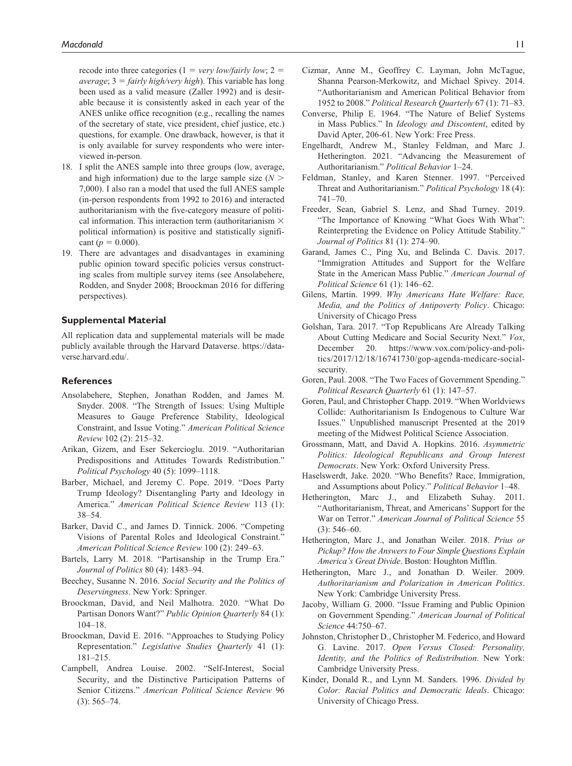recode into three categories ( $1 = \text{very low/fairly low}$ ;  $2 =$ *average*; 3 = *fairly high/very high*). This variable has long been used as a valid measure (Zaller 1992) and is desirable because it is consistently asked in each year of the ANES unlike office recognition (e.g., recalling the names of the secretary of state, vice president, chief justice, etc.) questions, for example. One drawback, however, is that it is only available for survey respondents who were interviewed in-person.

- 18. I split the ANES sample into three groups (low, average, and high information) due to the large sample size  $(N >$ 7,000). I also ran a model that used the full ANES sample (in-person respondents from 1992 to 2016) and interacted authoritarianism with the five-category measure of political information. This interaction term (authoritarianism  $\times$ political information) is positive and statistically significant ( $p = 0.000$ ).
- 19. There are advantages and disadvantages in examining public opinion toward specific policies versus constructing scales from multiple survey items (see Ansolabehere, Rodden, and Snyder 2008; Broockman 2016 for differing perspectives).

#### **Supplemental Material**

All replication data and supplemental materials will be made publicly available through the Harvard Dataverse. [https://data](https://dataverse.harvard.edu/)[verse.harvard.edu/](https://dataverse.harvard.edu/).

#### **References**

- Ansolabehere, Stephen, Jonathan Rodden, and James M. Snyder. 2008. "The Strength of Issues: Using Multiple Measures to Gauge Preference Stability, Ideological Constraint, and Issue Voting." *American Political Science Review* 102 (2): 215–32.
- Arikan, Gizem, and Eser Sekercioglu. 2019. "Authoritarian Predispositions and Attitudes Towards Redistribution." *Political Psychology* 40 (5): 1099–1118.
- Barber, Michael, and Jeremy C. Pope. 2019. "Does Party Trump Ideology? Disentangling Party and Ideology in America." *American Political Science Review* 113 (1): 38–54.
- Barker, David C., and James D. Tinnick. 2006. "Competing Visions of Parental Roles and Ideological Constraint." *American Political Science Review* 100 (2): 249–63.
- Bartels, Larry M. 2018. "Partisanship in the Trump Era." *Journal of Politics* 80 (4): 1483–94.
- Beechey, Susanne N. 2016. *Social Security and the Politics of Deservingness*. New York: Springer.
- Broockman, David, and Neil Malhotra. 2020. "What Do Partisan Donors Want?" *Public Opinion Quarterly* 84 (1): 104–18.
- Broockman, David E. 2016. "Approaches to Studying Policy Representation." *Legislative Studies Quarterly* 41 (1): 181–215.
- Campbell, Andrea Louise. 2002. "Self-Interest, Social Security, and the Distinctive Participation Patterns of Senior Citizens." *American Political Science Review* 96 (3): 565–74.
- Cizmar, Anne M., Geoffrey C. Layman, John McTague, Shanna Pearson-Merkowitz, and Michael Spivey. 2014. "Authoritarianism and American Political Behavior from 1952 to 2008." *Political Research Quarterly* 67 (1): 71–83.
- Converse, Philip E. 1964. "The Nature of Belief Systems in Mass Publics." In *Ideology and Discontent*, edited by David Apter, 206-61. New York: Free Press.
- Engelhardt, Andrew M., Stanley Feldman, and Marc J. Hetherington. 2021. "Advancing the Measurement of Authoritarianism." *Political Behavior* 1–24.
- Feldman, Stanley, and Karen Stenner. 1997. "Perceived Threat and Authoritarianism." *Political Psychology* 18 (4): 741–70.
- Freeder, Sean, Gabriel S. Lenz, and Shad Turney. 2019. "The Importance of Knowing "What Goes With What": Reinterpreting the Evidence on Policy Attitude Stability." *Journal of Politics* 81 (1): 274–90.
- Garand, James C., Ping Xu, and Belinda C. Davis. 2017. "Immigration Attitudes and Support for the Welfare State in the American Mass Public." *American Journal of Political Science* 61 (1): 146–62.
- Gilens, Martin. 1999. *Why Americans Hate Welfare: Race, Media, and the Politics of Antipoverty Policy*. Chicago: University of Chicago Press
- Golshan, Tara. 2017. "Top Republicans Are Already Talking About Cutting Medicare and Social Security Next." *Vox*, December 20. [https://www.vox.com/policy-and-poli](https://www.vox.com/policy-and-politics/2017/12/18/16741730/gop-agenda-medicare-social-security)[tics/2017/12/18/16741730/gop-agenda-medicare-social](https://www.vox.com/policy-and-politics/2017/12/18/16741730/gop-agenda-medicare-social-security)[security](https://www.vox.com/policy-and-politics/2017/12/18/16741730/gop-agenda-medicare-social-security).
- Goren, Paul. 2008. "The Two Faces of Government Spending." *Political Research Quarterly* 61 (1): 147–57.
- Goren, Paul, and Christopher Chapp. 2019. "When Worldviews Collide: Authoritarianism Is Endogenous to Culture War Issues." Unpublished manuscript Presented at the 2019 meeting of the Midwest Political Science Association.
- Grossmann, Matt, and David A. Hopkins. 2016. *Asymmetric Politics: Ideological Republicans and Group Interest Democrats*. New York: Oxford University Press.
- Haselswerdt, Jake. 2020. "Who Benefits? Race, Immigration, and Assumptions about Policy." *Political Behavior* 1–48.
- Hetherington, Marc J., and Elizabeth Suhay. 2011. "Authoritarianism, Threat, and Americans' Support for the War on Terror." *American Journal of Political Science* 55 (3): 546–60.
- Hetherington, Marc J., and Jonathan Weiler. 2018. *Prius or Pickup? How the Answers to Four Simple Questions Explain America's Great Divide*. Boston: Houghton Mifflin.
- Hetherington, Marc J., and Jonathan D. Weiler. 2009. *Authoritarianism and Polarization in American Politics*. New York: Cambridge University Press.
- Jacoby, William G. 2000. "Issue Framing and Public Opinion on Government Spending." *American Journal of Political Science* 44:750–67.
- Johnston, Christopher D., Christopher M. Federico, and Howard G. Lavine. 2017. *Open Versus Closed: Personality, Identity, and the Politics of Redistribution*. New York: Cambridge University Press.
- Kinder, Donald R., and Lynn M. Sanders. 1996. *Divided by Color: Racial Politics and Democratic Ideals*. Chicago: University of Chicago Press.